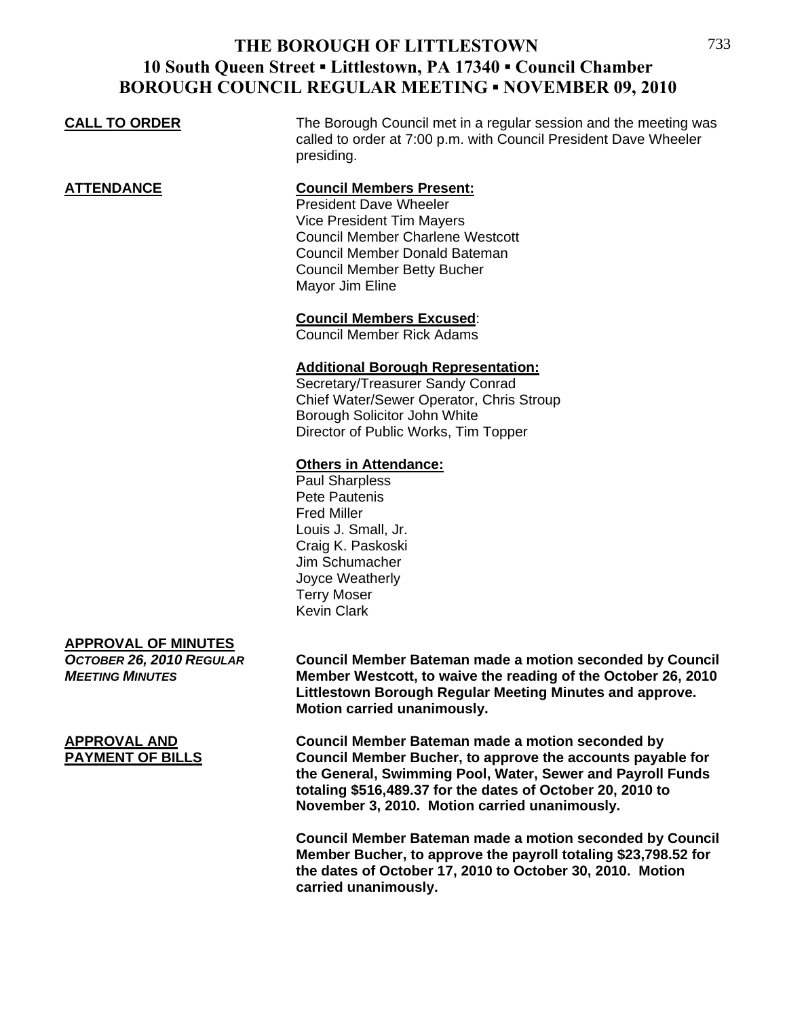## **THE BOROUGH OF LITTLESTOWN 10 South Queen Street ▪ Littlestown, PA 17340 ▪ Council Chamber BOROUGH COUNCIL REGULAR MEETING ▪ NOVEMBER 09, 2010**

**CALL TO ORDER** The Borough Council met in a regular session and the meeting was

## called to order at 7:00 p.m. with Council President Dave Wheeler presiding. **ATTENDANCE Council Members Present:** President Dave Wheeler Vice President Tim Mayers Council Member Charlene Westcott Council Member Donald Bateman Council Member Betty Bucher Mayor Jim Eline

**Council Members Excused**:

Council Member Rick Adams

### **Additional Borough Representation:**

 Secretary/Treasurer Sandy Conrad Chief Water/Sewer Operator, Chris Stroup Borough Solicitor John White Director of Public Works, Tim Topper

### **Others in Attendance:**

 Paul Sharpless Pete Pautenis Fred Miller Louis J. Small, Jr. Craig K. Paskoski Jim Schumacher Joyce Weatherly Terry Moser Kevin Clark

### **APPROVAL OF MINUTES**

*OCTOBER 26, 2010 REGULAR* **Council Member Bateman made a motion seconded by Council**  *MEETING MINUTES* **Member Westcott, to waive the reading of the October 26, 2010 Littlestown Borough Regular Meeting Minutes and approve. Motion carried unanimously.**

**APPROVAL AND Council Member Bateman made a motion seconded by PAYMENT OF BILLS Council Member Bucher, to approve the accounts payable for the General, Swimming Pool, Water, Sewer and Payroll Funds totaling \$516,489.37 for the dates of October 20, 2010 to November 3, 2010. Motion carried unanimously.** 

> **Council Member Bateman made a motion seconded by Council Member Bucher, to approve the payroll totaling \$23,798.52 for the dates of October 17, 2010 to October 30, 2010. Motion carried unanimously.**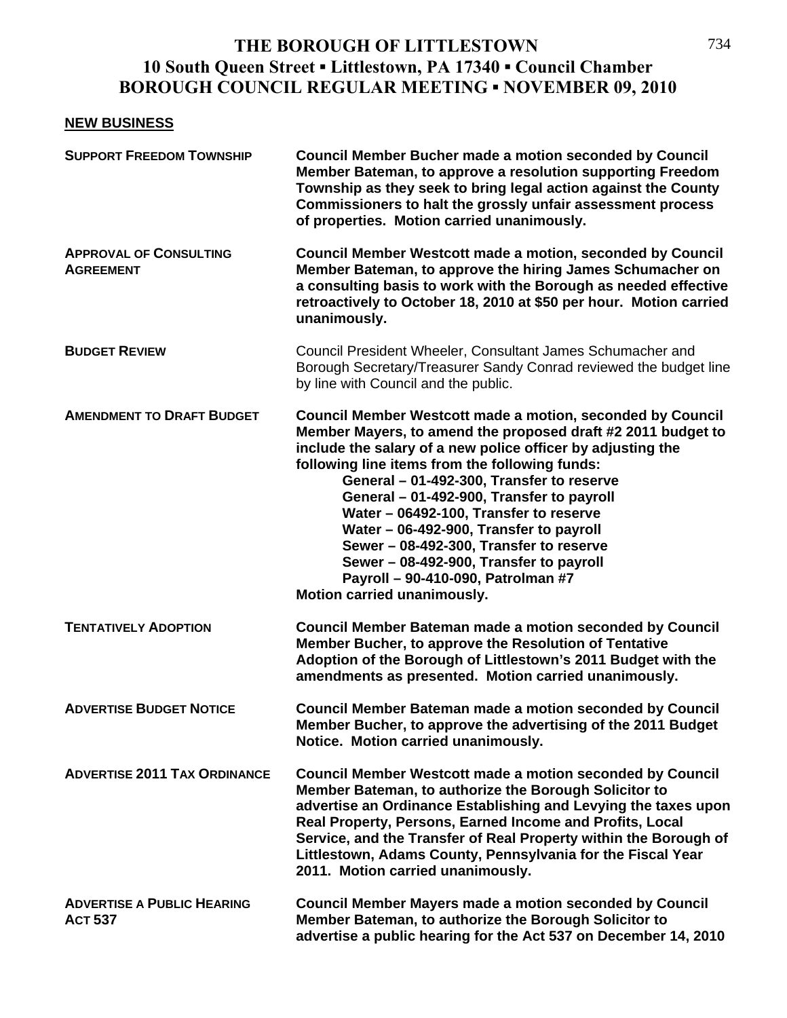# **THE BOROUGH OF LITTLESTOWN 10 South Queen Street ▪ Littlestown, PA 17340 ▪ Council Chamber BOROUGH COUNCIL REGULAR MEETING ▪ NOVEMBER 09, 2010**

### **NEW BUSINESS**

| <b>SUPPORT FREEDOM TOWNSHIP</b>                     | <b>Council Member Bucher made a motion seconded by Council</b><br>Member Bateman, to approve a resolution supporting Freedom<br>Township as they seek to bring legal action against the County<br>Commissioners to halt the grossly unfair assessment process<br>of properties. Motion carried unanimously.                                                                                                                                                                                                                                                                           |
|-----------------------------------------------------|---------------------------------------------------------------------------------------------------------------------------------------------------------------------------------------------------------------------------------------------------------------------------------------------------------------------------------------------------------------------------------------------------------------------------------------------------------------------------------------------------------------------------------------------------------------------------------------|
| <b>APPROVAL OF CONSULTING</b><br><b>AGREEMENT</b>   | Council Member Westcott made a motion, seconded by Council<br>Member Bateman, to approve the hiring James Schumacher on<br>a consulting basis to work with the Borough as needed effective<br>retroactively to October 18, 2010 at \$50 per hour. Motion carried<br>unanimously.                                                                                                                                                                                                                                                                                                      |
| <b>BUDGET REVIEW</b>                                | Council President Wheeler, Consultant James Schumacher and<br>Borough Secretary/Treasurer Sandy Conrad reviewed the budget line<br>by line with Council and the public.                                                                                                                                                                                                                                                                                                                                                                                                               |
| <b>AMENDMENT TO DRAFT BUDGET</b>                    | Council Member Westcott made a motion, seconded by Council<br>Member Mayers, to amend the proposed draft #2 2011 budget to<br>include the salary of a new police officer by adjusting the<br>following line items from the following funds:<br>General - 01-492-300, Transfer to reserve<br>General - 01-492-900, Transfer to payroll<br>Water - 06492-100, Transfer to reserve<br>Water - 06-492-900, Transfer to payroll<br>Sewer - 08-492-300, Transfer to reserve<br>Sewer - 08-492-900, Transfer to payroll<br>Payroll - 90-410-090, Patrolman #7<br>Motion carried unanimously. |
| <b>TENTATIVELY ADOPTION</b>                         | <b>Council Member Bateman made a motion seconded by Council</b><br>Member Bucher, to approve the Resolution of Tentative<br>Adoption of the Borough of Littlestown's 2011 Budget with the<br>amendments as presented. Motion carried unanimously.                                                                                                                                                                                                                                                                                                                                     |
| <b>ADVERTISE BUDGET NOTICE</b>                      | <b>Council Member Bateman made a motion seconded by Council</b><br>Member Bucher, to approve the advertising of the 2011 Budget<br>Notice. Motion carried unanimously.                                                                                                                                                                                                                                                                                                                                                                                                                |
| <b>ADVERTISE 2011 TAX ORDINANCE</b>                 | <b>Council Member Westcott made a motion seconded by Council</b><br>Member Bateman, to authorize the Borough Solicitor to<br>advertise an Ordinance Establishing and Levying the taxes upon<br>Real Property, Persons, Earned Income and Profits, Local<br>Service, and the Transfer of Real Property within the Borough of<br>Littlestown, Adams County, Pennsylvania for the Fiscal Year<br>2011. Motion carried unanimously.                                                                                                                                                       |
| <b>ADVERTISE A PUBLIC HEARING</b><br><b>ACT 537</b> | <b>Council Member Mayers made a motion seconded by Council</b><br>Member Bateman, to authorize the Borough Solicitor to<br>advertise a public hearing for the Act 537 on December 14, 2010                                                                                                                                                                                                                                                                                                                                                                                            |